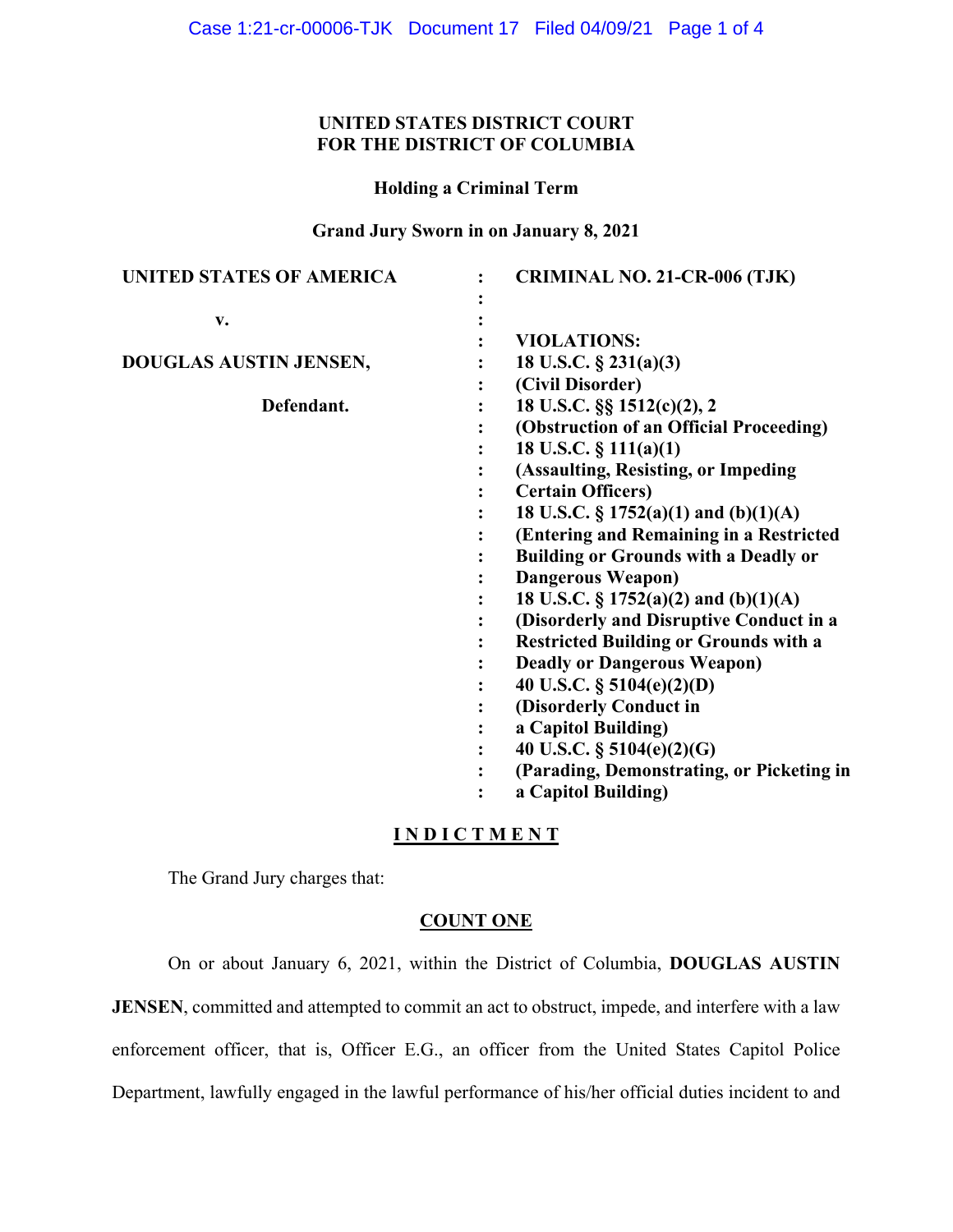# **UNITED STATES DISTRICT COURT FOR THE DISTRICT OF COLUMBIA**

**Holding a Criminal Term**

**Grand Jury Sworn in on January 8, 2021**

| UNITED STATES OF AMERICA | <b>CRIMINAL NO. 21-CR-006 (TJK)</b>          |
|--------------------------|----------------------------------------------|
|                          |                                              |
| v.                       |                                              |
|                          | <b>VIOLATIONS:</b>                           |
| DOUGLAS AUSTIN JENSEN,   | 18 U.S.C. $\S$ 231(a)(3)                     |
|                          | (Civil Disorder)                             |
| Defendant.               | 18 U.S.C. §§ 1512(c)(2), 2                   |
|                          | (Obstruction of an Official Proceeding)      |
|                          | 18 U.S.C. $\S$ 111(a)(1)                     |
|                          | (Assaulting, Resisting, or Impeding          |
|                          | <b>Certain Officers)</b>                     |
|                          | 18 U.S.C. § 1752(a)(1) and (b)(1)(A)         |
|                          | (Entering and Remaining in a Restricted      |
|                          | <b>Building or Grounds with a Deadly or</b>  |
|                          | <b>Dangerous Weapon)</b>                     |
|                          | 18 U.S.C. § 1752(a)(2) and (b)(1)(A)         |
|                          | (Disorderly and Disruptive Conduct in a      |
|                          | <b>Restricted Building or Grounds with a</b> |
|                          | <b>Deadly or Dangerous Weapon)</b>           |
|                          | 40 U.S.C. § 5104(e)(2)(D)                    |
|                          | (Disorderly Conduct in                       |
|                          | a Capitol Building)                          |
|                          | 40 U.S.C. $\S$ 5104(e)(2)(G)                 |
|                          | (Parading, Demonstrating, or Picketing in    |
|                          | a Capitol Building)                          |
|                          |                                              |

# **I N D I C T M E N T**

The Grand Jury charges that:

## **COUNT ONE**

On or about January 6, 2021, within the District of Columbia, **DOUGLAS AUSTIN** 

**JENSEN**, committed and attempted to commit an act to obstruct, impede, and interfere with a law

enforcement officer, that is, Officer E.G., an officer from the United States Capitol Police

Department, lawfully engaged in the lawful performance of his/her official duties incident to and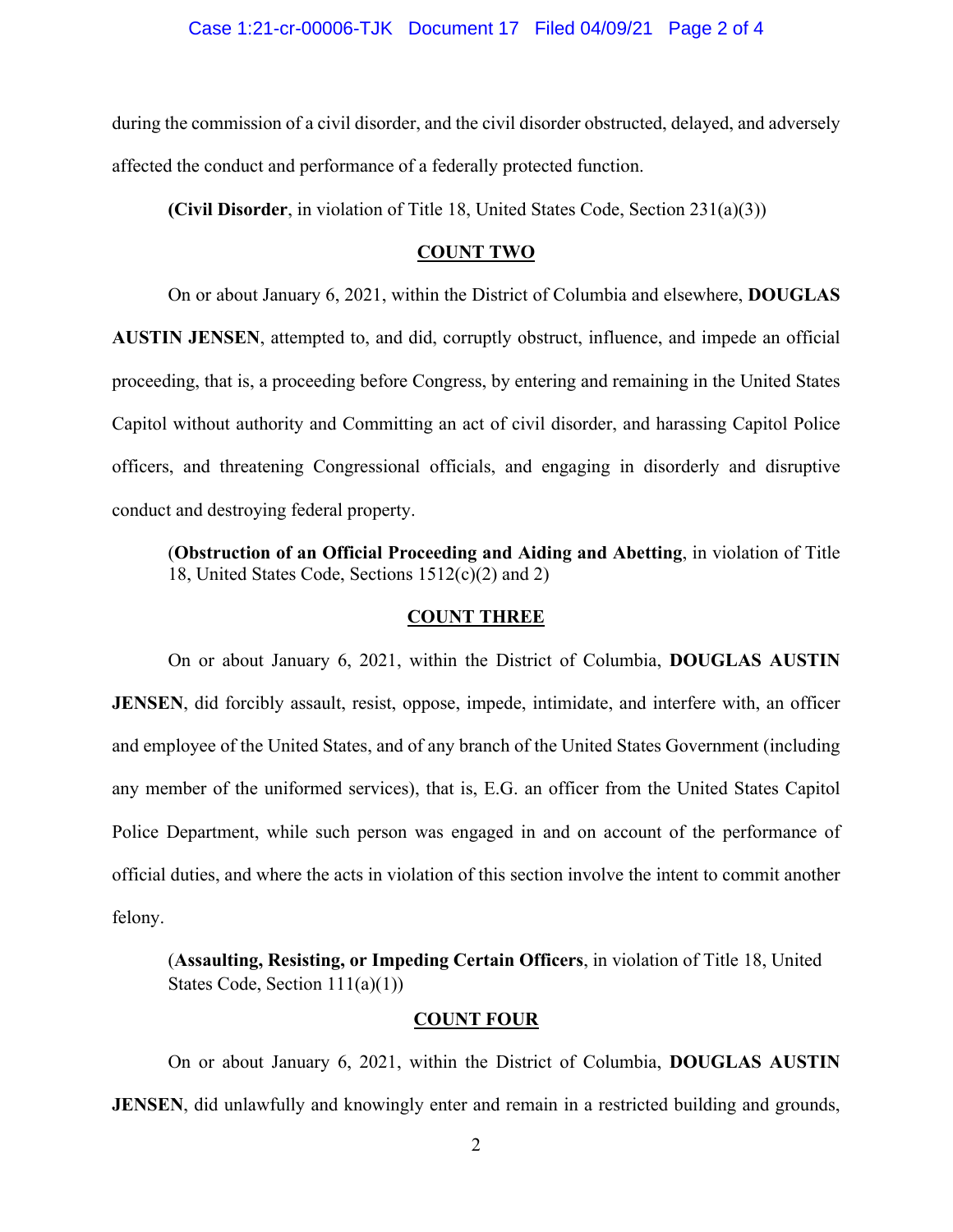during the commission of a civil disorder, and the civil disorder obstructed, delayed, and adversely affected the conduct and performance of a federally protected function.

**(Civil Disorder**, in violation of Title 18, United States Code, Section 231(a)(3))

### **COUNT TWO**

On or about January 6, 2021, within the District of Columbia and elsewhere, **DOUGLAS AUSTIN JENSEN**, attempted to, and did, corruptly obstruct, influence, and impede an official proceeding, that is, a proceeding before Congress, by entering and remaining in the United States Capitol without authority and Committing an act of civil disorder, and harassing Capitol Police officers, and threatening Congressional officials, and engaging in disorderly and disruptive conduct and destroying federal property.

(**Obstruction of an Official Proceeding and Aiding and Abetting**, in violation of Title 18, United States Code, Sections 1512(c)(2) and 2)

## **COUNT THREE**

On or about January 6, 2021, within the District of Columbia, **DOUGLAS AUSTIN JENSEN**, did forcibly assault, resist, oppose, impede, intimidate, and interfere with, an officer and employee of the United States, and of any branch of the United States Government (including any member of the uniformed services), that is, E.G. an officer from the United States Capitol Police Department, while such person was engaged in and on account of the performance of official duties, and where the acts in violation of this section involve the intent to commit another felony.

(**Assaulting, Resisting, or Impeding Certain Officers**, in violation of Title 18, United States Code, Section 111(a)(1))

## **COUNT FOUR**

On or about January 6, 2021, within the District of Columbia, **DOUGLAS AUSTIN JENSEN**, did unlawfully and knowingly enter and remain in a restricted building and grounds,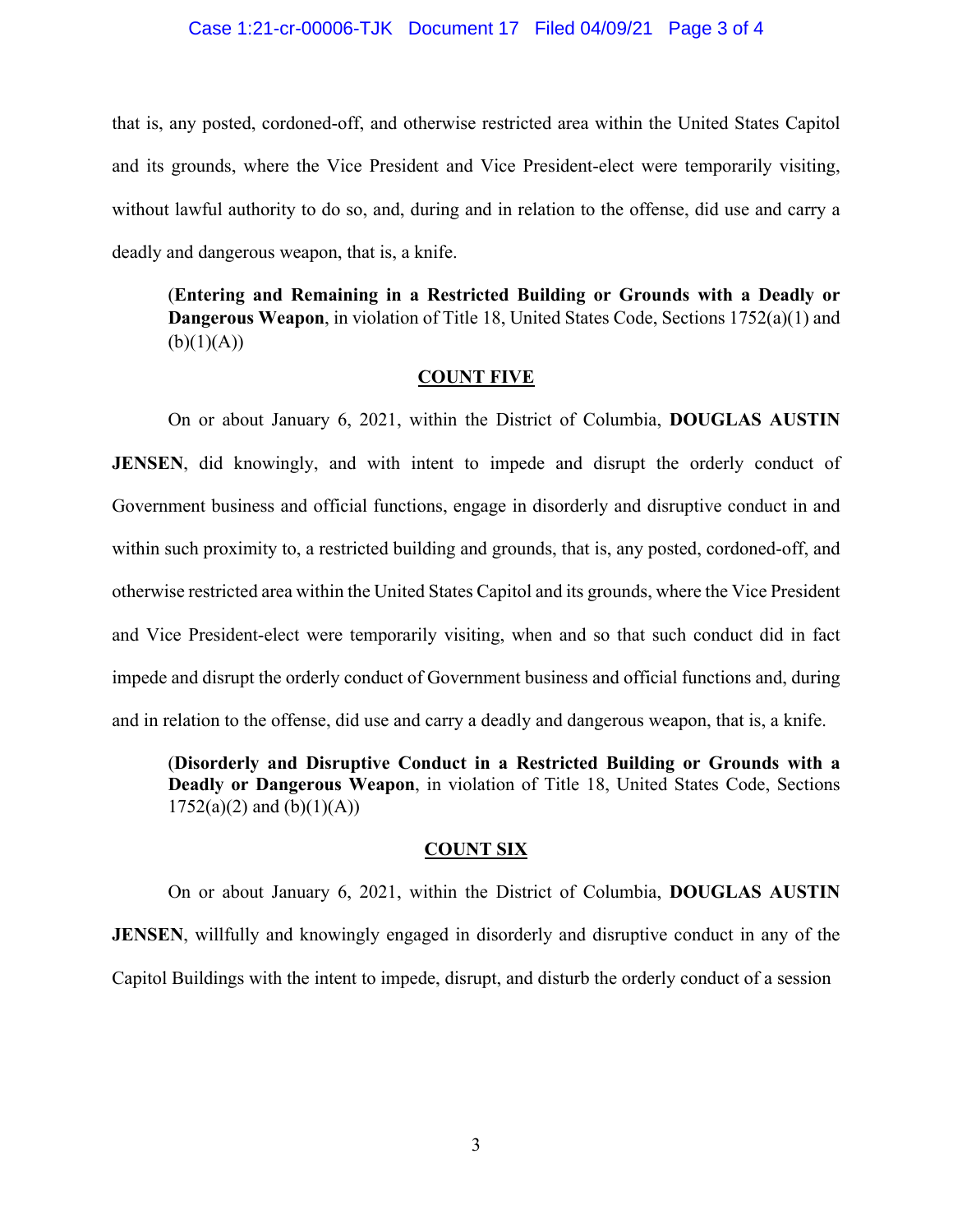## Case 1:21-cr-00006-TJK Document 17 Filed 04/09/21 Page 3 of 4

that is, any posted, cordoned-off, and otherwise restricted area within the United States Capitol and its grounds, where the Vice President and Vice President-elect were temporarily visiting, without lawful authority to do so, and, during and in relation to the offense, did use and carry a deadly and dangerous weapon, that is, a knife.

(**Entering and Remaining in a Restricted Building or Grounds with a Deadly or Dangerous Weapon**, in violation of Title 18, United States Code, Sections 1752(a)(1) and  $(b)(1)(A))$ 

#### **COUNT FIVE**

On or about January 6, 2021, within the District of Columbia, **DOUGLAS AUSTIN JENSEN**, did knowingly, and with intent to impede and disrupt the orderly conduct of Government business and official functions, engage in disorderly and disruptive conduct in and within such proximity to, a restricted building and grounds, that is, any posted, cordoned-off, and otherwise restricted area within the United States Capitol and its grounds, where the Vice President and Vice President-elect were temporarily visiting, when and so that such conduct did in fact impede and disrupt the orderly conduct of Government business and official functions and, during and in relation to the offense, did use and carry a deadly and dangerous weapon, that is, a knife.

(**Disorderly and Disruptive Conduct in a Restricted Building or Grounds with a Deadly or Dangerous Weapon**, in violation of Title 18, United States Code, Sections  $1752(a)(2)$  and  $(b)(1)(A))$ 

## **COUNT SIX**

On or about January 6, 2021, within the District of Columbia, **DOUGLAS AUSTIN JENSEN**, willfully and knowingly engaged in disorderly and disruptive conduct in any of the Capitol Buildings with the intent to impede, disrupt, and disturb the orderly conduct of a session